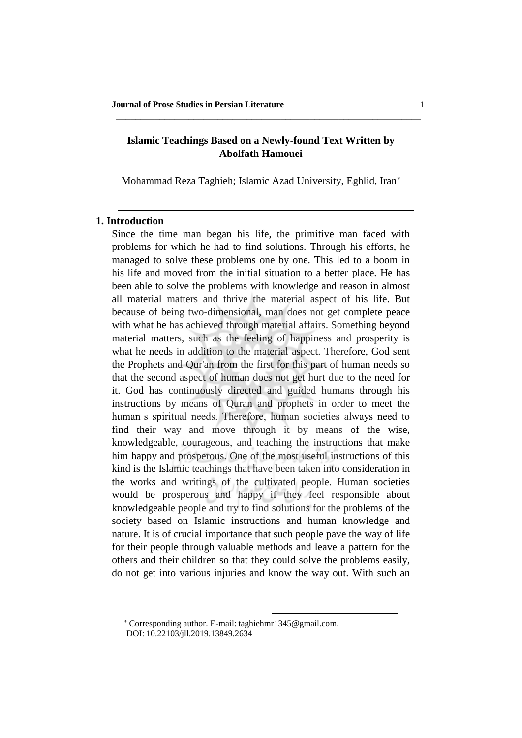# **Islamic Teachings Based on a Newly-found Text Written by Abolfath Hamouei**

\_\_\_\_\_\_\_\_\_\_\_\_\_\_\_\_\_\_\_\_\_\_\_\_\_\_\_\_\_\_\_\_\_\_\_\_\_\_\_\_\_\_\_\_\_\_\_\_\_\_\_\_\_\_\_\_\_\_\_\_\_\_\_

Mohammad Reza Taghieh; Islamic Azad University, Eghlid, Iran<sup>∗</sup>

## **1. Introduction**

Since the time man began his life, the primitive man faced with problems for which he had to find solutions. Through his efforts, he managed to solve these problems one by one. This led to a boom in his life and moved from the initial situation to a better place. He has been able to solve the problems with knowledge and reason in almost all material matters and thrive the material aspect of his life. But because of being two-dimensional, man does not get complete peace with what he has achieved through material affairs. Something beyond material matters, such as the feeling of happiness and prosperity is what he needs in addition to the material aspect. Therefore, God sent the Prophets and Qur'an from the first for this part of human needs so that the second aspect of human does not get hurt due to the need for it. God has continuously directed and guided humans through his instructions by means of Quran and prophets in order to meet the human s spiritual needs. Therefore, human societies always need to find their way and move through it by means of the wise, knowledgeable, courageous, and teaching the instructions that make him happy and prosperous. One of the most useful instructions of this kind is the Islamic teachings that have been taken into consideration in the works and writings of the cultivated people. Human societies would be prosperous and happy if they feel responsible about knowledgeable people and try to find solutions for the problems of the society based on Islamic instructions and human knowledge and nature. It is of crucial importance that such people pave the way of life for their people through valuable methods and leave a pattern for the others and their children so that they could solve the problems easily, do not get into various injuries and know the way out. With such an

 $\overline{a}$ 

<sup>∗</sup> Corresponding author. E-mail: [taghiehmr1345@gmail.com.](mailto:taghiehmr1345@gmail.com) DOI: 10.22103/jll.2019.13849.2634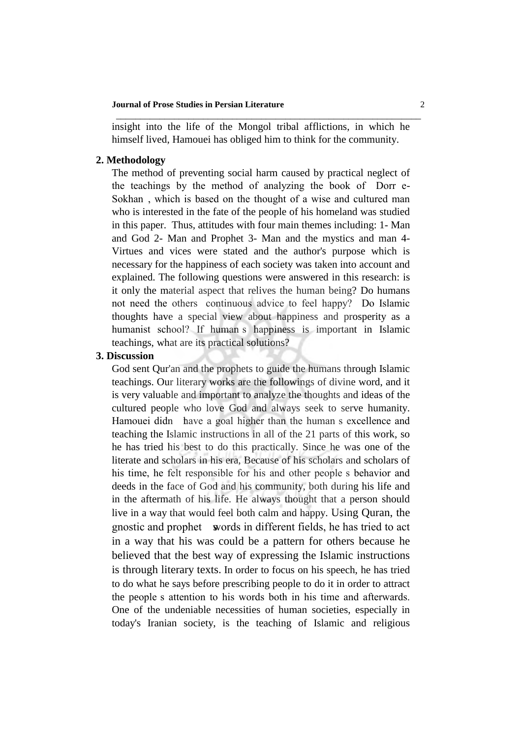#### **Journal of Prose Studies in Persian Literature** 2

insight into the life of the Mongol tribal afflictions, in which he himself lived, Hamouei has obliged him to think for the community.

\_\_\_\_\_\_\_\_\_\_\_\_\_\_\_\_\_\_\_\_\_\_\_\_\_\_\_\_\_\_\_\_\_\_\_\_\_\_\_\_\_\_\_\_\_\_\_\_\_\_\_\_\_\_\_\_\_\_\_\_\_\_\_

## **2. Methodology**

The method of preventing social harm caused by practical neglect of the teachings by the method of analyzing the book of Dorr e-Sokhan, which is based on the thought of a wise and cultured man who is interested in the fate of the people of his homeland was studied in this paper. Thus, attitudes with four main themes including: 1- Man and God 2- Man and Prophet 3- Man and the mystics and man 4- Virtues and vices were stated and the author's purpose which is necessary for the happiness of each society was taken into account and explained. The following questions were answered in this research: is it only the material aspect that relives the human being? Do humans not need the others continuous advice to feel happy? Do Islamic thoughts have a special view about happiness and prosperity as a humanist school? If human s happiness is important in Islamic teachings, what are its practical solutions?

## **3. Discussion**

God sent Qur'an and the prophets to guide the humans through Islamic teachings. Our literary works are the followings of divine word, and it is very valuable and important to analyze the thoughts and ideas of the cultured people who love God and always seek to serve humanity. Hamouei didn have a goal higher than the human s excellence and teaching the Islamic instructions in all of the 21 parts of this work, so he has tried his best to do this practically. Since he was one of the literate and scholars in his era, Because of his scholars and scholars of his time, he felt responsible for his and other people s behavior and deeds in the face of God and his community, both during his life and in the aftermath of his life. He always thought that a person should live in a way that would feel both calm and happy. Using Quran, the gnostic and prophet words in different fields, he has tried to act in a way that his was could be a pattern for others because he believed that the best way of expressing the Islamic instructions is through literary texts. In order to focus on his speech, he has tried to do what he says before prescribing people to do it in order to attract the people s attention to his words both in his time and afterwards. One of the undeniable necessities of human societies, especially in today's Iranian society, is the teaching of Islamic and religious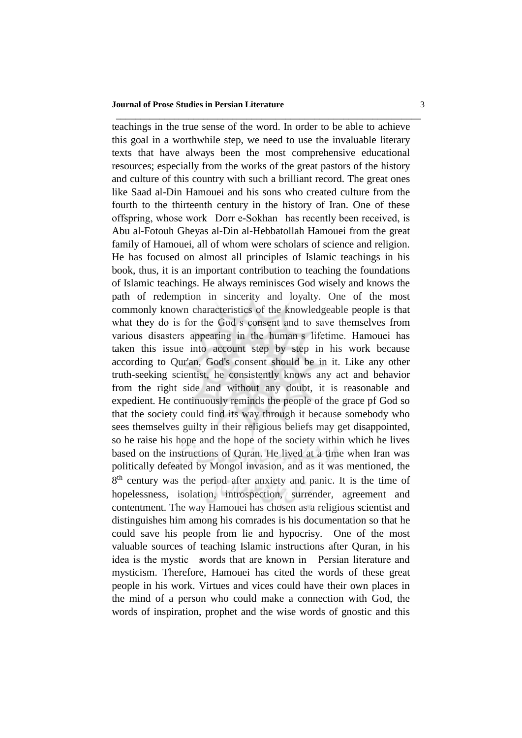#### **Journal of Prose Studies in Persian Literature** 3

teachings in the true sense of the word. In order to be able to achieve this goal in a worthwhile step, we need to use the invaluable literary texts that have always been the most comprehensive educational resources; especially from the works of the great pastors of the history and culture of this country with such a brilliant record. The great ones like Saad al-Din Hamouei and his sons who created culture from the fourth to the thirteenth century in the history of Iran. One of these offspring, whose work Dorr e-Sokhan has recently been received, is Abu al-Fotouh Gheyas al-Din al-Hebbatollah Hamouei from the great family of Hamouei, all of whom were scholars of science and religion. He has focused on almost all principles of Islamic teachings in his book, thus, it is an important contribution to teaching the foundations of Islamic teachings. He always reminisces God wisely and knows the path of redemption in sincerity and loyalty. One of the most commonly known characteristics of the knowledgeable people is that what they do is for the God s consent and to save themselves from various disasters appearing in the human�s lifetime. Hamouei has taken this issue into account step by step in his work because according to Qur'an, God's consent should be in it. Like any other truth-seeking scientist, he consistently knows any act and behavior from the right side and without any doubt, it is reasonable and expedient. He continuously reminds the people of the grace pf God so that the society could find its way through it because somebody who sees themselves guilty in their religious beliefs may get disappointed, so he raise his hope and the hope of the society within which he lives based on the instructions of Quran. He lived at a time when Iran was politically defeated by Mongol invasion, and as it was mentioned, the 8<sup>th</sup> century was the period after anxiety and panic. It is the time of hopelessness, isolation, introspection, surrender, agreement and contentment. The way Hamouei has chosen as a religious scientist and distinguishes him among his comrades is his documentation so that he could save his people from lie and hypocrisy. One of the most valuable sources of teaching Islamic instructions after Quran, in his idea is the mystic words that are known in Persian literature and mysticism. Therefore, Hamouei has cited the words of these great people in his work. Virtues and vices could have their own places in the mind of a person who could make a connection with God, the words of inspiration, prophet and the wise words of gnostic and this

\_\_\_\_\_\_\_\_\_\_\_\_\_\_\_\_\_\_\_\_\_\_\_\_\_\_\_\_\_\_\_\_\_\_\_\_\_\_\_\_\_\_\_\_\_\_\_\_\_\_\_\_\_\_\_\_\_\_\_\_\_\_\_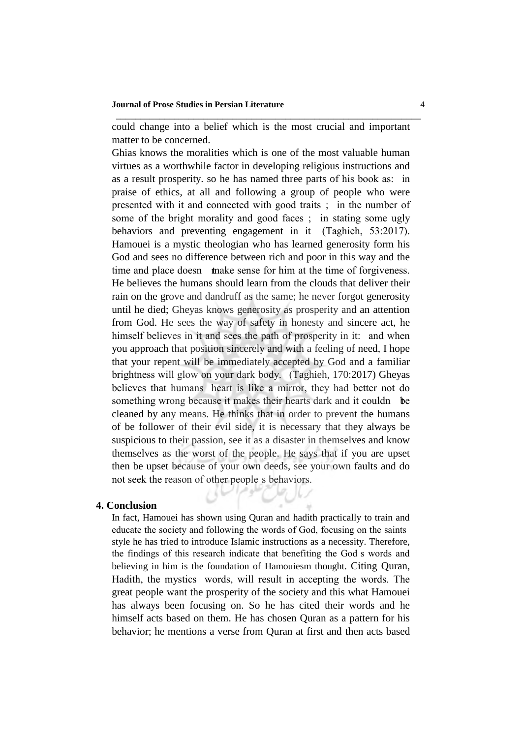could change into a belief which is the most crucial and important matter to be concerned.

\_\_\_\_\_\_\_\_\_\_\_\_\_\_\_\_\_\_\_\_\_\_\_\_\_\_\_\_\_\_\_\_\_\_\_\_\_\_\_\_\_\_\_\_\_\_\_\_\_\_\_\_\_\_\_\_\_\_\_\_\_\_\_

Ghias knows the moralities which is one of the most valuable human virtues as a worthwhile factor in developing religious instructions and as a result prosperity, so he has named three parts of his book as: in praise of ethics, at all and following a group of people who were presented with it and connected with good traits ; in the number of some of the bright morality and good faces ; in stating some ugly behaviors and preventing engagement in it (Taghieh, 53:2017). Hamouei is a mystic theologian who has learned generosity form his God and sees no difference between rich and poor in this way and the time and place doesn **make** sense for him at the time of forgiveness. He believes the humans should learn from the clouds that deliver their rain on the grove and dandruff as the same; he never forgot generosity until he died; Gheyas knows generosity as prosperity and an attention from God. He sees the way of safety in honesty and sincere act, he himself believes in it and sees the path of prosperity in it: and when you approach that position sincerely and with a feeling of need, I hope that your repent will be immediately accepted by God and a familiar brightness will glow on your dark body. (Taghieh, 170:2017) Gheyas believes that humans heart is like a mirror, they had better not do something wrong because it makes their hearts dark and it couldn be cleaned by any means. He thinks that in order to prevent the humans of be follower of their evil side, it is necessary that they always be suspicious to their passion, see it as a disaster in themselves and know themselves as the worst of the people. He says that if you are upset then be upset because of your own deeds, see your own faults and do not seek the reason of other people s behaviors.

## **4. Conclusion**

In fact, Hamouei has shown using Quran and hadith practically to train and educate the society and following the words of God, focusing on the saints� style he has tried to introduce Islamic instructions as a necessity. Therefore, the findings of this research indicate that benefiting the God s words and believing in him is the foundation of Hamouiesm thought. Citing Quran, Hadith, the mystics words, will result in accepting the words. The great people want the prosperity of the society and this what Hamouei has always been focusing on. So he has cited their words and he himself acts based on them. He has chosen Quran as a pattern for his behavior; he mentions a verse from Quran at first and then acts based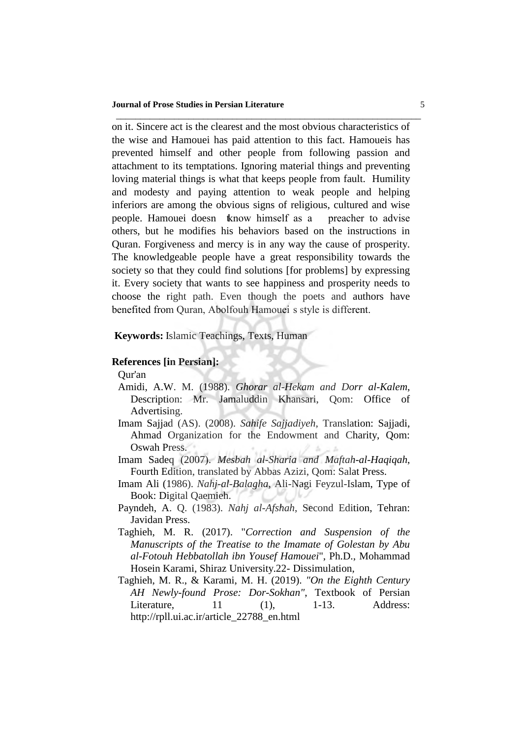on it. Sincere act is the clearest and the most obvious characteristics of the wise and Hamouei has paid attention to this fact. Hamoueis has prevented himself and other people from following passion and attachment to its temptations. Ignoring material things and preventing loving material things is what that keeps people from fault. Humility and modesty and paying attention to weak people and helping inferiors are among the obvious signs of religious, cultured and wise people. Hamouei doesn know himself as a preacher to advise others, but he modifies his behaviors based on the instructions in Quran. Forgiveness and mercy is in any way the cause of prosperity. The knowledgeable people have a great responsibility towards the society so that they could find solutions [for problems] by expressing it. Every society that wants to see happiness and prosperity needs to choose the right path. Even though the poets and authors have benefited from Quran, Abolfouh Hamouei s style is different.

\_\_\_\_\_\_\_\_\_\_\_\_\_\_\_\_\_\_\_\_\_\_\_\_\_\_\_\_\_\_\_\_\_\_\_\_\_\_\_\_\_\_\_\_\_\_\_\_\_\_\_\_\_\_\_\_\_\_\_\_\_\_\_

**Keywords:** Islamic Teachings, Texts, Human

## **References [in Persian]:**

Qur'an

- Amidi, A.W. M. (1988). *Ghorar al-Hekam and Dorr al-Kalem*, Description: Mr. Jamaluddin Khansari, Qom: Office of Advertising.
- Imam Sajjad (AS). (2008). *Sahife Sajjadiyeh*, Translation: Sajjadi, Ahmad Organization for the Endowment and Charity, Qom: Oswah Press.
- Imam Sadeq (2007). *Mesbah al-Sharia and Maftah-al-Haqiqah*, Fourth Edition, translated by Abbas Azizi, Qom: Salat Press.
- Imam Ali (1986). *Nahj-al-Balagha*, Ali-Nagi Feyzul-Islam, Type of Book: Digital Qaemieh.
- Payndeh, A. Q. (1983). *Nahj al-Afshah*, Second Edition, Tehran: Javidan Press.
- Taghieh, M. R. (2017). "*Correction and Suspension of the Manuscripts of the Treatise to the Imamate of Golestan by Abu al-Fotouh Hebbatollah ibn Yousef Hamouei*", Ph.D., Mohammad Hosein Karami, Shiraz University.22- Dissimulation,
- Taghieh, M. R., & Karami, M. H. (2019). *"On the Eighth Century AH Newly-found Prose: Dor-Sokhan"*, Textbook of Persian Literature, 11 (1), 1-13. Address: http://rpll.ui.ac.ir/article\_22788\_en.html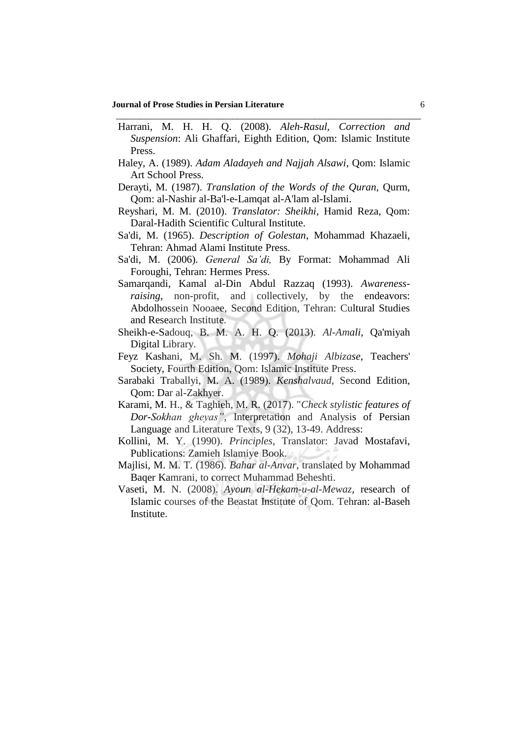#### **Journal of Prose Studies in Persian Literature** 6

Harrani, M. H. H. Q. (2008). *Aleh-Rasul, Correction and Suspension*: Ali Ghaffari, Eighth Edition, Qom: Islamic Institute Press.

\_\_\_\_\_\_\_\_\_\_\_\_\_\_\_\_\_\_\_\_\_\_\_\_\_\_\_\_\_\_\_\_\_\_\_\_\_\_\_\_\_\_\_\_\_\_\_\_\_\_\_\_\_\_\_\_\_\_\_\_\_\_\_

- Haley, A. (1989). *Adam Aladayeh and Najjah Alsawi*, Qom: Islamic Art School Press.
- Derayti, M. (1987). *Translation of the Words of the Quran*, Qurm, Qom: al-Nashir al-Ba'l-e-Lamqat al-A'lam al-Islami.
- Reyshari, M. M. (2010). *Translator: Sheikhi*, Hamid Reza, Qom: Daral-Hadith Scientific Cultural Institute.
- Sa'di, M. (1965). *Description of Golestan*, Mohammad Khazaeli, Tehran: Ahmad Alami Institute Press.
- Sa'di, M. (2006). *General Sa'di,* By Format: Mohammad Ali Foroughi, Tehran: Hermes Press.
- Samarqandi, Kamal al-Din Abdul Razzaq (1993). *Awarenessraising*, non-profit, and collectively, by the endeavors: Abdolhossein Nooaee, Second Edition, Tehran: Cultural Studies and Research Institute.
- Sheikh-e-Sadouq, B. M. A. H. Q. (2013). *Al-Amali*, Qa'miyah Digital Library.
- Feyz Kashani, M. Sh. M. (1997). *Mohaji Albizase*, Teachers' Society, Fourth Edition, Qom: Islamic Institute Press.
- Sarabaki Traballyi, M. A. (1989). *Kenshalvaud*, Second Edition, Qom: Dar al-Zakhyer.
- Karami, M. H., & Taghieh, M. R. (2017). "*Check stylistic features of Dor-Sokhan gheyas"*, Interpretation and Analysis of Persian Language and Literature Texts, 9 (32), 13-49. Address:
- Kollini, M. Y. (1990). *Principles*, Translator: Javad Mostafavi, Publications: Zamieh Islamiye Book.
- Majlisi, M. M. T. (1986). *Bahar al-Anvar*, translated by Mohammad Baqer Kamrani, to correct Muhammad Beheshti.
- Vaseti, M. N. (2008). *Ayoun al-Hekam-u-al-Mewaz*, research of Islamic courses of the Beastat Institute of Qom. Tehran: al-Baseh Institute.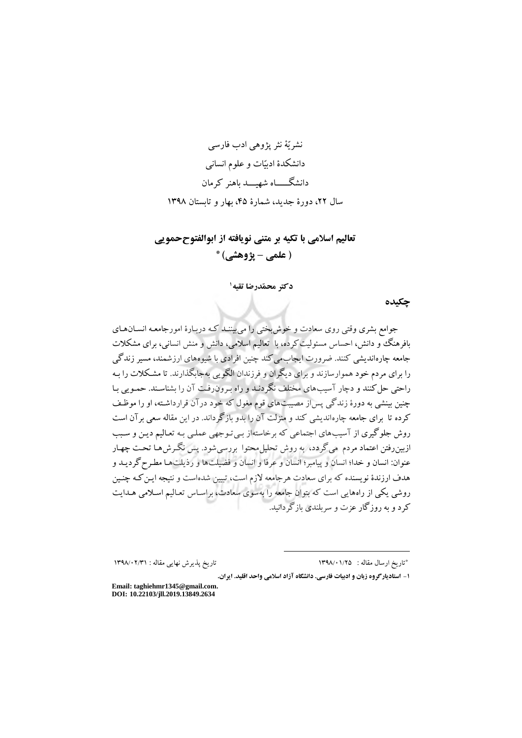نشريّة نثر پژوهي ادب فارسي دانشکدة ادبیّات و علوم انسانی دانشگـــــاه شهیـــد باهنر كرمان سال ٢٢، دورة جديد، شمارة ۴۵، بهار و تابستان ١٣٩٨

# **تعالیم اسالمی با تکیه بر متنی نویافته از ابوالفتوححمویی ) علمی – پژوهشی( \***

**1 دکتر محمّدرضا تقیه**

**چکیده**

جوامع بشری وقتی روی سعادت و خوشبختی را میبیننـد كـد دربـارة امورجامعـد انسـان هـای بافرهنگ و دانش، احساس مسئولیت كرده، با تعالیم اسالمی، دانش و منش انسانی، برای مشکالت جامعد چارهانديشی كنند. ضرورت ايجابمیكند چنین افرادی با شیوههای ارزشمند، مسیر زندگی را برای مردم خود هموارسازند و برای ديگران و فرزندان الگويی بدجابگذارند. تا مشـکالت را بـد راحتی حلكنند و دچار آسیبهای مختلف نگردنـد و راه بـرون رفـت آن را بشناسـند. حمـويی بـا چنین بینشی بد دورة زندگی پساز مصیبتهای قوم مغول كد خود درآن قرارداشـتد، او را موفـف كرده تا برای جامعه چارهانديشی كند و منزلت آن را بدو بازگرداند. در اين مقاله سعی برآن است روش جلوگیری از آسیبهای اجتماعی كه برخاستهاز بـی تـوجهی عملـی بـه تعـالیم دیـن و سـبب ازبین رفتن اعتماد مردم می گردد، به روش تحلیل محتوا بررسیشود. پس نگـرش هـا تحـت چهـار عنوان: انسان و خدا؛ انسان و پیامبر؛ انسان و عرفا و انسان و فضیلتها و رذيلتهـا مرـر گرديـد و هدف ارزندة نويسنده كد برای سعادت هرجامعد الزم است، تبیین شدهاست و نتیجد ايـن كـد چنـین روشی يکی از راههايی است كد بتوان جامعد را بدسوی سعادت، براسـاس تعـالیم اسـالمی هـدايت كرد و بد روزگار عزت و سربلندی بازگردانید.

تاريخ پذيرش نهايی مقاله : ١٣٩٨/٠٢/٣١

\*تار بخ ارسال مقاله : ١٣٩٨/٠١/٢٥

**-1 استادیارگروه زبان و ادبیات فارسی. دانشگاه آزاد اسالمی واحد اقلید. ایران.** 

 $\overline{a}$ 

**Email: taghiehmr1345@gmail.com. DOI: 10.22103/jll.2019.13849.2634**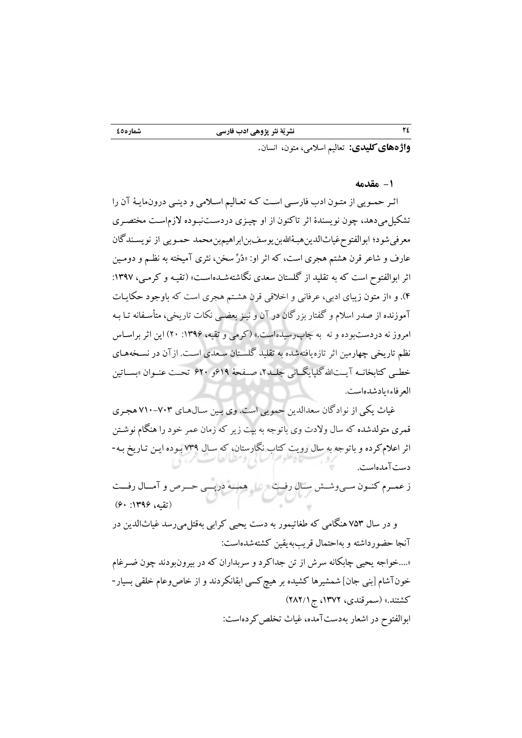**:کلیدیهایواژه** تعالیم اسالمی، متون، انسان .

**-1 مقدمه**

اثـر حمـويی از متـون ادب فارسـی اسـت كـد تعـالیم اسـالمی و دينـی درونمايـة آن را تشکیلمیدهد، چون نويسندة اثر تاكنون از او چیـزی در دسـت نبـوده الزم اسـت مختصـری معرفی شود؛ ابوالفتوح غياثالدين هبـۀاللهبن يوسفبن ابراهيمبن محمد حمـويبي از نويسـندگان عارف و شاعر قرن هشتم هجری است، كد اثر او: »دُرِّ سخن، نثری آمیختد بد نظـم و دومـین اثر ابوالفتوح است كه به تقلید از گلستان سعدی نگاشتهشـدهاسـت» (تقیـه و كرمـی، ۱۳۹۷: (. 5 و »از متون زيبای ادبی، عرفانی و اخالقی قرن هشـتم هجری است كد باوجود حکايـات آموزنده از صدر اسالم و گفتار بزرگان در آن و نیـز بعضـی نکات تاريخی، متأسـفاند تـا بـد امروز ند دردستبوده و ند بد چاپرسیدهاست.« )كرمی و تقید، :9311 21( اين اثر براسـاس نظم تاريخی چهارمین اثر تازهيافتدشده بد تقلید گلسـتان سـعدی اسـت. ازآن در نسـخد هـای خطــی كتابخانــه آيــتالله گلپايگــانی جلــد ۲، صــفحهٔ ۶۱۹و ۶۲۰ تحــت عنــوان «بســاتین العرفاء» يادشده است.

 غیاث يکی از نوادگان سعدالدين حمويی است. وی بـین سـال هـای 191-113 هجـری قمری متولدشده كد سال والدت وی باتوجد بد بیت زير كد زمان عمر خود را هنگام نوشـتن اثر اعلام كرده و باتوجه به سال رويت كتاب نگارستان، كه سـال ٧٣٩ بـوده ايـن تـاريخ بـه-دست است.آمده

ز عمــرم كنــون ســی وشــش ســال ر فــت همـــد درپـــی حـــرا و آمـــال رفـــت )تقید، :9311 11(

 و در سال 143 هنگامی كد طغاتیمور بد دست يحیی كرابی بدقتلمیرسد غیاثالدين در آنجا حضورداشتد و بداحتمال قريببديقین كشتدشدهاست: »....خواجد يحیی چابکاند سرش از تن جداكرد و سربداران كد در بیرونبودند چون ضـرغام

خونآشام [بنی جان] شمشیرها كشیده بر هیچ كسی ابقانكردند و از خاص وعام خلقی بسیار -كشتند.» (سمرقندی، ۱۳۷۲، ج ۲۸۲/۱) ابوالفتوح در اشعار بهدست آمده، غیاث تخلص کردهاست: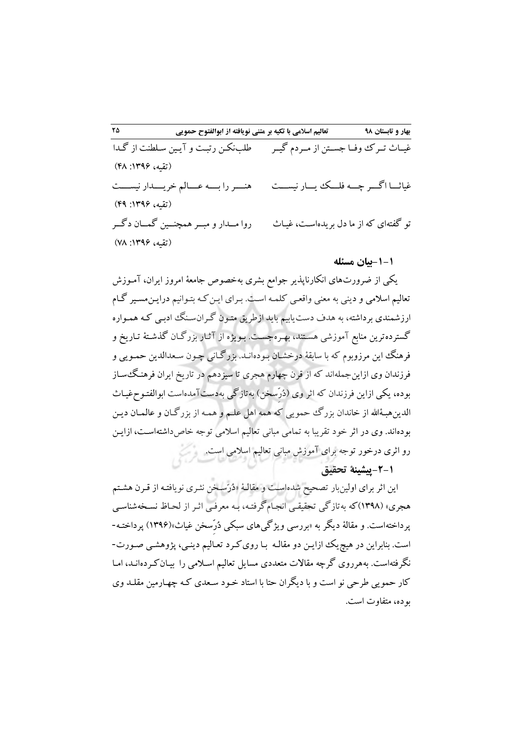**98 بهار و تابستان تعالیم اسالمی با تکیه بر متنی نویافته از ابوالفتوح حمویی 52** غیــاث تــر وفــا جســتن از مــردم گیــر غیاثـــا اگـــر چـــد فلـــ يـــار نیســـت تو گفتدای كد از ما دل بريدهاسـت، غیـاث طلبنکـن رتبـت و آيـین سـلرنت از گـدا )تقید، :9311 58( هنــــررا بــــد عــــالم خريــــدار نیســــت )تقید، :9311 51( روا مــدار و مبــرهمچنــین گمــان دگــر )تقید، :9311 18(

## **-1-1 ئبیان مس له**

يکی از ضرورتهای انکارناپذير جوامع بشری بهخصوص جامعهٔ امروز ايران، آمـوزش تعالیم اسالمی و دينی بد معنی واقعـی كلمـد اسـت. بـرای ايـن كـد بتـوانیم درايـن مسـیر گـام ارزشمندی برداشتد، بد هدف دستيابیم بايد ازطريق متـون گـران سـنگ ادبـی كـد همـواره گستردهترين منابع آموزشی هسـتند، بهـره جسـت. بـويژه از آثـار بزرگـان گذشـتة تـاريخ و فرهنگ اين مرزوبوم كد با سابقة درخشـان بـوده انـد. بزرگـانی چـون سـعدالدين حمـويی و فرزندان وی ازاين جملهاند كه از قرن چهارم هجری تا سیزدهم در تاريخ ايران فرهنگ سـاز بوده، يکي ازاين فرزندان كه اثر وی (دُرّسخن) بهتازگی بهدستآمدهاست ابوالفتـوحفيـاث الدينهبـهٔالله از خاندان بزرگ حمويي كه همه اهل علـم و همـه از بزرگـان و عالمـان ديـن بودهاند. وی در اثر خود تقريبا به تمامی مبانی تعالیم اسلامی توجه خاص داشتهاسـت، ازايـن رو اثری درخور توجد برای آموزش مبانی تعالیم اسالمی است.

# **-4-1پیشینة تحقیق**

اين اثر برای اولينبار تصحيح شدهاسـت و مقالـهٔ «دُرّسـخن نشـری نويافتـه از قـرن هشـتم هجري» (۱۳۹۸)كه بهتازگی تحقیقـی انجـامگرفتـه، بـه معرفـی اثـر از لحـاظ نسـخهشناسـی پرداختهاست. و مقالهٔ دیگر به «بررسی ویژگیهای سبکی دُرّسخن غیاث»(۱۳۹۶) پرداختـه-است. بنابراين در هیچي ازايـن دو مقالـد بـا روی كـرد تعـالیم دينـی، پژوهشـی صـورت - نگرفتهاست. بههرروی گرچه مقالات متعددی مسایل تعالیم اسـلامی را بیـان كـردهانـد، امـا كار حمويی طرحی نو است و با ديگران حتا با استاد خـود سـعدی كـد چهـارمین مقلـد وی بوده، متفاوت است.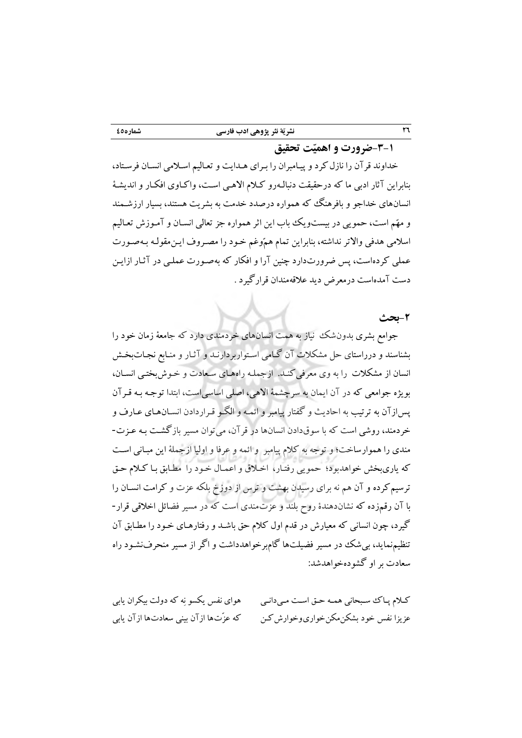خداوند قرآن را نازلكرد و پیـامبران را بـرای هـدايت و تعـالیم اسـالمی انسـان فرسـتاد، بنابراين آثار ادبی ما كه درحقيقت دنبالـهرو كـلام الاهـی اسـت، واكـاوی افكـار و انديشـهٔ انسانهای خداجو و بافرهنگ كد همواره درصدد خدمت بد بشريت هستند، بسیار ارزشـمند و مهّم است، حمويی در بیستوي باب اين اثر همواره جز تعالی انسـان و آمـوزش تعـالیم اسالمی هدفی واالتر نداشتد، بنابراين تمام همّوغم خـود را مصـروف ايـن مقولـد بـد صـورت عملی كردهاست، پس ضرورتدارد چنین آرا و افکار كد بدصـورت عملـی در آثـار از ايـن دست آمدهاست درمعرض ديد عالقدمندان قرارگیرد .

## **-4بحث**

جوامع بشری بدون شک نیاز به همت انسانهای خردمندی دارد كه جامعهٔ زمان خود را بشناسند و درراستای حل مشکالت آن گـام ی اسـتوار بردارنـد و آثـار و منـابع نجـات بخـش انسان از مشکلات را به وی معرفی كنـد. ازجملـه راههـای سـعادت و خـوش بختـی انسـان، بويژه جوامعی كد در آن ايمان بد سرچشمة االهی، اصلی اساسیاست، ابتدا توجـد بـد قـرآن پسازآن بد ترتیب بد احاديث و گفتار پیامبر و ائمـد و الگـو قـراردادن انسـان هـای عـارف و خردمند، روشی است كد با سوقدادن انسانها در قرآن، میتوان مسیر بازگشـت بـد عـزت - مندی را هموارساخت؛ و توجد بد كالم پیامبر و ائمد و عرفا و اولیا ازجملة اين مبـانی اسـت كد ياریبخش خواهدبود؛ حمويی رفتـار، اخـالق و اعمـال خـود را مرـابق بـ ا كـالم حـق ترسیمكرده و آن هم ند برای رسیدن بهشت و ترس از دوزخ بلکد عزت و كرامت انسـان را با آن رقمزده كد نشاندهندة رو بلند و عزتمندی است كد در مسیر فضائل اخالقی قرار- گیرد، چون انسانی كد معیارش در قدم اول كالم حق باشـد و رفتارهـای خـود را مرـابق آن تنظیم نماید، بی شک در مسیر فضیلتها گام برخواهدداشت و اگر از مسیر منحرفنشـود راه سعادت بر او گشوده شد:خواهد

كـالم پـا سـبحانی همـد حـق اسـت مـی دانـی عزيزا نفس خود بشکن.مکن خواری وخوارش كـن هوای نفس يکسو نِد كد دولت بیکران يابی كد عزِّتها ازآن بینی سعادتها ازآن يابی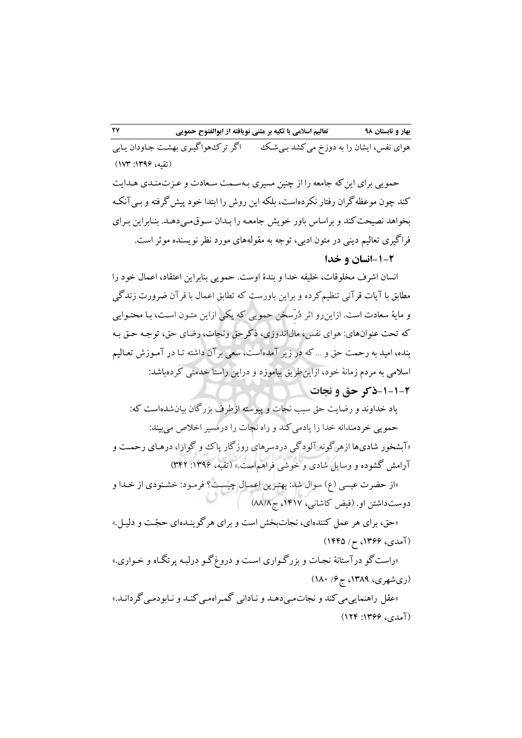هوای نفس، ايشان را به دوزخ می كشد بـیشـك اگر تر ك\$هواگيـری بهشـت جـاودان يـابی (تقیه، ۱۳۹۶: ۱۷۳)

حمويي برای اين كه جامعه را از چنين مسيری بـهسـمت سـعادت و عـزتمنـدی هـدايت كند چون موعظدگران رفتار نکردهاست، بلکد اين روش را ابتدا خود پیشگرفتد و بـی آنکـد بخواهد نصیحتكند و براساس باور خويش جامعـد را بـدان سـوق مـی دهـد. بنـابراين بـرای فراگیری تعالیم دينی در متون ادبی، توجد بد مقولدهای مورد نظر نويسنده موثر است.

# **-1-4انسان و خدا**

انسان اشرف مخلوقات، خلیفد خدا و بندة اوست. حمويی بنابراين اعتقاد، اعمال خود را مطابق با آيات قرآنی تنظیم كرده و براين باورست كه تطابق اعمال با قرآن ضرورت زندگی و ماية سعادت است. ازاينرو اثر دُر ِّسخن حمويی كد يکی ازاين متـون اسـت، بـا محتـوايی كد تحت عنوانهای: هوای نفس، مالاندوزی، ذكرحق ونجات، رضای حق، توجـد حـق بـد بنده، امید بد رحمت حق و ... كد در زير آمده است، سعی برآن داشتد تـا در آمـوزش تعـالیم اسالمی بد مردم زمانة خود، ازاينطريق بیاموزد و دراين راستا خدمتی كردهباشد: **-1-1-4ذکر حق و نجات**

ياد خداوند و رضايت حق سبب نجات و پيوسته ازطرف بزرگان بيان شدهاست كه: حمويي خردمندانه خدا را يادمي كند و راه نجات را درمسير اخلاص می بيند: »آبشخور شادیها ازهرگوند آلودگی دردسرهای روزگار پا و گوارا، درهـای رحمـت و آرامش گشوده و وسايل شادی و خوشی فراهماست.« )تقید، :9311 352( «از حضرت عیسی (ع) سوال شد: بهتـرين اعمـال چیسـت؟ فرمـود: خشـنودی از خـدا و دوستداشتن او. (فیض كاشانی، ۱۴۱۷، ج۸۸/۸) «حق، برای هر عمل كنندهای، نجات بخش است و برای هر گو پنـدهای حجّـت و دلیـل.» (آمدی، ۱۳۶۶، ح/ ۱۴۴۵)

«راست گو درآستانهٔ نجـات و بزرگـواری اسـت و دروغ گـو درلبـه پرتگـاه و خـواری.»  $(1\Lambda\cdot$  (ری شهری، ۱۳۸۹، ج ۶/ ۱۸۰) «عقل راهنمايی می كند و نجات مـی دهـد و نـادانی گمـراه مـی كنـد و نـابودمـی گردانـد.» (آمدی، ۱۳۶۶: ۱۲۴)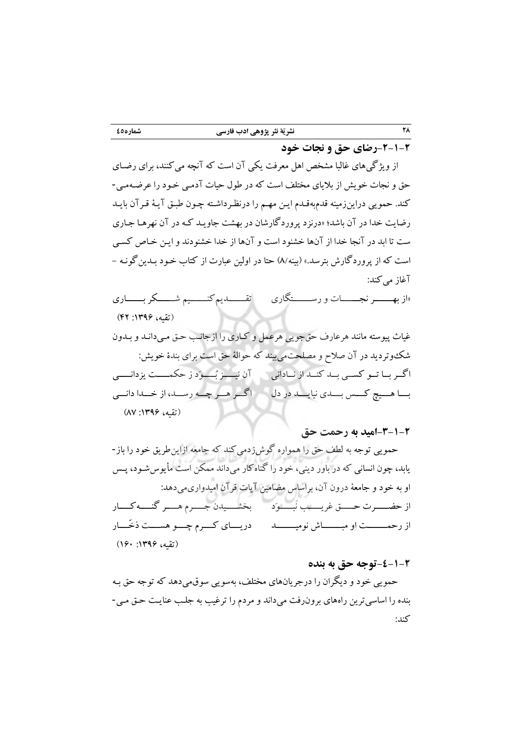# **-4-1-4رضای حق و نجات خود**

از ويژگیهای غالبا مشخص اهل معرفت يکی آن است كد آنچد میكنند، برای رضـای حق و نجات خويش از باليای مختلف است كد در طول حیات آدمـی خـود را عرضـد یمـ - كند. حمويی دراينزمیند قدمبدقـدم ايـن مهـم را در نظـر داشـتد چـون طبـق آيـة قـرآن بايـد رضايت خدا در آن باشد؛ «درنزد پروردگارشان در بهشت جاويـد كـه در آن نهرهـا جـاري ست تا ابد در آنجا خدا از آنها خشنود است و آنها از خدا خشنودند و ايـن خـاص كسـی است كه از پروردگارش بترسد.» (بينه/٨) حتا در اولين عبارت از كتاب خـود بـدين گونـه -آغاز می كند:

»از بهـــــــر نجـــــــات و رســـــــتگاری تقـــــــديمكنـــــــیم شـــــــکر بـــــــاری (تقیه، ۱۳۹۶: ۴۲)

غیاث پیوستد مانند هرعارف حقجويی هرعمل و كـاری را از مـی جانـب حـق دانـد و بـدون شك $\mathfrak{e}$ در آن صلاح و مصلحت $\mathfrak{e}_2$ بیند كه حوالهٔ حق است برای بندهٔ خویش: اگــر بــا تــو كســی بــد كنــد از نــادانی آن نیـــــز بُـــــوید ز حکمـــــت يزدانـــــی بــــا هــــیچ كــــس بــــدی نیا يــــد در دل اگـــر هـــر چـــد رســـد، از خـــدا دانـــی )تقید، :9311 81(

**-3-1-4امید به رحمت حق** 

حمويي توجه به لطف حق را همواره گوش زدمی كند كه جامعه ازاين طريق خود را باز-يابد، چون انسانی كد در باور دينی، خود را گناهكار میداند ممکن است مأيوسشـود، پـس او به خود و جامعهٔ درون آن، براساس مضامین آیات قرآن امیدواریمی دهد: از حضـــــرت حـــــق غريـــــب نبــــود مــــ بخشــــيدن جـــــرم هـــــر گنـــــه كــــار از رحمــــــــت او مبــــــــاش نومیــــــــد دريــــای كــــرم چــــو هســــت ذخِّــــار )تقید، :9311 911(

## **-4-1-4توجه حق به بنده**

حمويی خود و ديگران را درجريانهای مختلف، بدسويی سوقمیدهد كد توجد حق بـد بنده را اساسیترين راههای برونرفت میداند و مردم را ترغیب بد جلـب عنايـت حـق مـی - كند: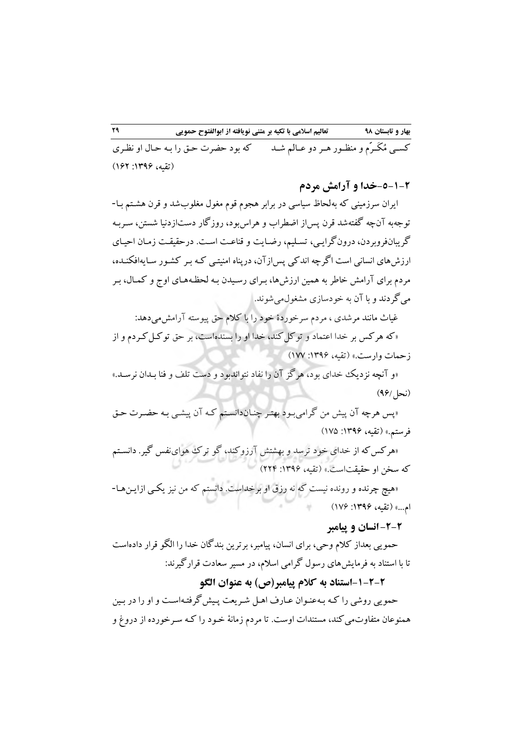كســی مُكَــرَم و منظــور هــر دو عــالم شــد كه بود حضرت حـق را بـه حـال او نظـری (تقیه، ۱۳۹۶: ۱۶۲)

**-5-1-4خدا و آرامش مردم**

ایران سرزمینی كه بهلحاظ سیاسی در برابر هجوم قوم مغول مغلوبشد و قرن هشـتم بـا− توجهبه آن چه گفتهشد قرن پس|ز اضطراب و هراسبود، روزگار دست|زدنیا شستن، سـربـه گريبانفروبردن، درون گرايـي، تسـليم، رضـايت و قناعـت اسـت. درحقيقـت زمـان احيـاي ارزش،های انسانی است اگرچه اندكی پس|زآن، درپناه امنیتـی كـه بـر كشـور سـايهافكنـده، مردم برای آرامش خاطر به همین ارزشها، بـرای رسـیدن بـه لحظـههـای اوج و كمـال، بـر می گردند و با آن به خودسازی مشغولمی شوند.

غیاث مانند مرشدی ، مردم سرخوردة خود را با كالم حق پیوستد آرامشمیدهد:

»كد هركس بر خدا اعتماد و توكلكند، خدا او را بسندهاست، بر حق توكـل كـردم و از زحمات وارست.« )تقید، :9311 911(

«و آنچه نزديك خدای بود، هرگز آن را نفاد نتواندبود و دست تلف و فنا بـدان نرسـد.»  $(99/$  (نحل)

»پس هرچد آن پیش من گرامیبـود بهتـر چنـان دانسـتم كـد آن پیشـی بـد حضـرت حـق فرستم.» (تقیه، ۱۳۹۶: ۱۷۵)

هركس» كد از خدای خود ترسد و بهشتش آرزوكند، گو تر هواینفس گیر. دانسـتم كه سخن او حقیقتاست.» (تقیه، ۱۳۹۶: ۲۲۴)

»هیچ چرنده و رونده نیست كد ند رزق او برخداست. دانستم كد من نیز يکـی ازايـن هـا - ام...« )تقید، :9311 911(

# **-4-4 انسان و پیامبر**

حمويی بعداز كالم وحی، برای انسان، پیامبر، برترين بندگان خدا را الگو قرار دادهاست تا با استناد بد فرمايشهای رسول گرامی اسالم، در مسیر سعادت قرارگیرند:

**-1-4-4استناد به کالم پیامبر)ص( به عنوان الگو**

حمويی روشی را كـد بـد عنـوان عـارف اهـل شـريعت پـیش گرفتـد اسـت و او را در بـین همنوعان متفاوتمی كند، مستندات اوست. تا مردم زمانهٔ خـود را كـه سـرخورده از دروغ و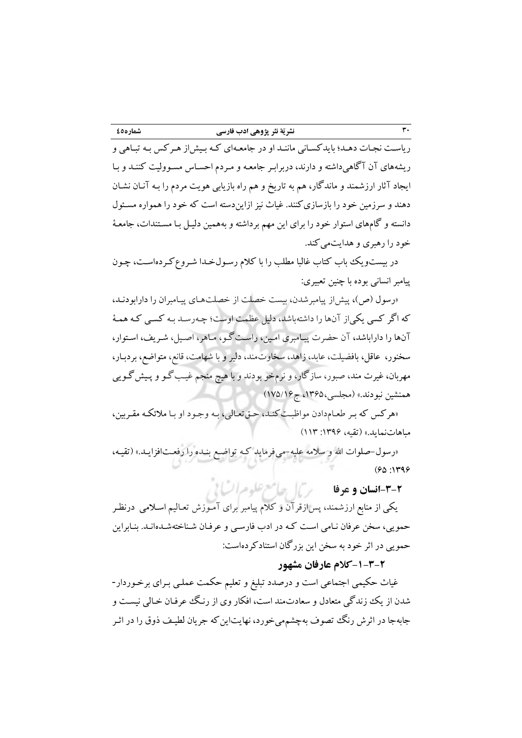رياسـت نجـات دهـد؛ بايدكسـاني ماننـد او در جامعـهاي كـه بـيش|ز هـر كس بـه تبـاهي و ریشههای آن آگاهیداشته و دارند، دربرابـر جامعـه و مـردم احسـاس مسـوولیت كننـد و بـا ايجاد آثار ارزشمند و ماندگار، هم به تاريخ و هم راه بازيابی هويت مردم را بـه آنـان نشـان دهند و سرزمین خود را بازسازی كنند. غیاث نیز ازایندسته است كه خود را همواره مسـئول دانستد و گامهای استوار خود را برای اين مهم برداشتد و بدهمین دلیـل بـا مسـتندات، جامعـة خود را رهبری و هدايتمي كند.

در بیست ویك باب كتاب غالبا مطلب را با كلام رسـولخـدا شـروع كـردهاسـت، چـون پیامبر انسانی بوده با چنین تعبیری:

«رسول (ص)، پیش از پیامبرشدن، بیست خصلت از خصلتهـای پیـامبران را دارابودنـد، كه اگر كسی يكی از آنها را داشتهباشد، دلیل عظمت اوست؛ چـهرسـد بـه كسـی كـه همـهٔ آنها را داراباشد، آن حضرت پیـامبری امـین، راسـت گـو، مـاهر، اصـیل، شـريف، اسـتوار، سخنور، عاقل، بافضیلت، عابد، زاهد، سخاوتمند، دلیر و با شهامت، قانع، متواضع، بردبـار، مهربان، غیرت مند، صبور، سازگار، و نرمخو بودند و با هیچ منجم غیـب گـو و پـیش گـويی همنشین نبودند.» (مجلسی،۱۳۶۵، ج۱۷۵/۱۶)

»هركس كد بـر طعـام دادن موافبـت كنـد، حـق تعـالی، بـد وجـود او بـا مالئکـد مقـربین، مباهاتنمايد.» (تقيه، ١٣٩۶: ١١٣)

«رسول-صلوات الله و سلامه علیه-میفرماید كـه تواضـع بنـده را رفعـتافزايـد.» (تقیـه،  $(90:149)$ 

# **-3-4انسان و عرفا**

يکی از منابع ارزشمند، پسازقرآن و كالم پیامبر برای آمـوزش تعـالیم اسـالمی درنظـر حمويی، سخن عرفان نـامی اسـت كـد در ادب فارسـی و عرفـان شـناختد شـده انـد. بنـابراين حمويي در اثر خود به سخن اين بزرگان استنادكر دهاست:

# **-1-3-4کالم عارفان مشهور**

غیاث حکیمی اجتماعی است و درصدد تبلیغ و تعلیم حکمت عملـی بـرای برخـوردار -شدن از يك زندگي متعادل و سعادتمند است، افكار وی از رنـگ عوفـان خـالی نیسـت و جابهجا در اثرش رنگ تصوف بهچشممی خورد، نهايتاين كه جريان لطيـف ذوق را در اثـر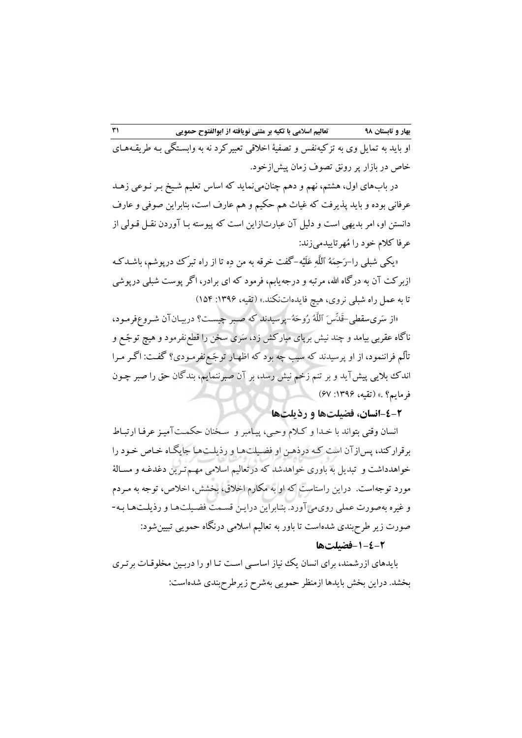او بايد به تمايل وی به تزكيهنفس و تصفيهٔ اخلاقی تعبیر كرد نه به وابسـتگی بـه طريقـههـای خاص در بازار پر رونق تصوف زمان پیش ازخود.

در بابهای اول، هشتم، نهم و دهم چنان می نماید كه اساس تعلیم شـیخ بـر نـوعی زهـد عرفانی بوده و بايد پذيرفت كه غياث هم حكيم و هم عارف است، بنابراين صوفی و عارف دانستن او، امر بديهی است و دليل آن عبارتازاين است كه پيوسته بـا آوردن نقـل قـولی از عرفا كالم خود را مُهرتايیدمیزند:

«يکي شبلي را-رَحِمَهُ ٱللَّهِ عَلَيْه-گفت خرقه به من دِه تا از راه تبرِّک درپوشم، باشـدکـه ازبركت آن بد درگاه اهلل، مرتبد و درجديابم، فرمود كد ای برادر، اگر پوست شبلی درپوشی تا به عمل راه شبلی نروی، هیچ فایدهاتنکند.» (تقیه، ۱۳۹۶: ۱۵۴)

«از سَریسقطی-قَدِّس َ ٱللَّهُ رُوحَهُ-پرسیدند كه صـبر چیسـت؟ دربیـانآن شـروعٖفرمـود، ناگاه عقربی بیامد و چند نیش برپای مبارکش زد، سَری سخن را قطع نفرمود و هیچ توجّـع و تألِّم فراننمود، از او پرسیدند كد سبب چد بود كد افهـار توجّـع نفرمـودیر گفـت: اگـر مـرا اند باليی پیشآيد و بر تنم زخم نیش رسد، بر آن صبرننمايم، بندگان حق را صبر چـون فرمايم؟ .» (تقيه، ١٣٩۶: ۶۷)

**-4-4انسان، فضیلتها و رذیلتها**

انسان وقتی بتواند با خـدا و كـالم وحـی، پیـامبر و سـخنان حکمـت آمیـز عرفـا ارتبـا برقراركند، پس|زآن است كـه درذهـن او فضـیلتهـا و رذیلـتهـا جایگـاه خـاص خـود را خواهدداشت و تبديل بد باوری خواهدشد كد درتعالیم اسالمی مهـم تـرين دغدغـد و مسـالة مورد توجداست. دراين راستاست كد او بد مکارم اخالق، بخشش، اخالا، توجد بد مـردم و غیره بدصورت عملی رویمیآورد. بنـابراين درايـن قسـمت فضـیلت هـا و رذيلـت هـا بـد - صورت زير طر بندی شدهاست تا باور بد تعالیم اسالمی درنگاه حمويی تبیینشود:

## **-1-4-4فضیلتها**

بايدهای ازرشمند، برای انسان يك نياز اساسـی اسـت تـا او را دربـين مخلوقـات برتـری بخشد. دراين بخش بايدها ازمنظر حمويی بهشرح زيرطرح بندی شدهاست: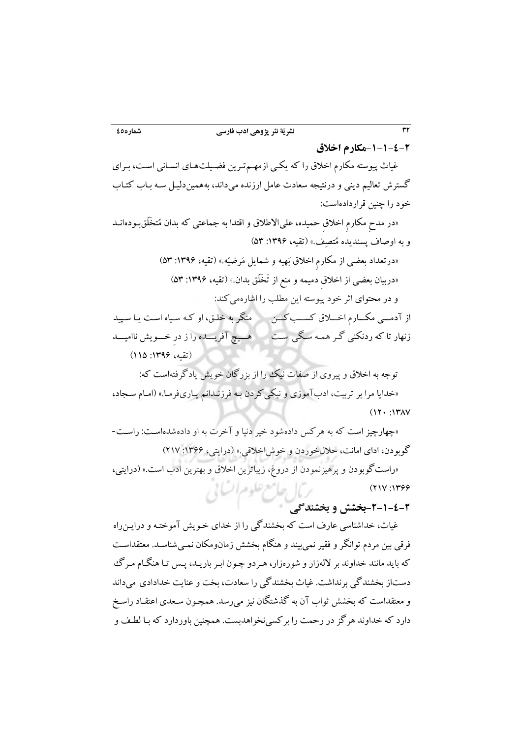**-1-1-4-4مکارم اخالق** 

غیاث پیوستد مکارم اخالق را كد يکـی ازمهـم تـرين فضـیلت هـای انسـانی اسـت، بـرای گسترش تعالیم دينی و درنتیجد سعادت عامل ارزنده می همینداند، بد دلیـل سـد بـاب كتـاب خود را چنین قراردادهاست:

«در مدح مکارم اخلاق حمیده، علیالاطلاق و اقتدا به جماعتی که بدان مُتخَلّق بودهانـد و به اوصاف پسنديده مُتصِف.» (تقيه، ١٣٩۶: ٥٣)

> »درتعداد بعضی از مکارم اخالق بیهید و شمايل میرضیّد.« )تقید، :9311 43( «دربیان بعضبی از اخلاق دمیمه و منع از تَخَلّق بدان.» (تقیه، ۱۳۹۶: ۵۳) و در محتوای اثر خود پیوسته اين مطلب را اشارهمی كند:

از آدمـــی مکـــارم اخـــلاق كســـب كـــن منگر به خلـق، او كـه سـياه اسـت يـا سـپيد زنهار تا كد ردنکنی گـر همـد سـگی سـت هـــیچ آفريـــده را ز در خـــويش ناامیـــد (تقیه، ۱۳۹۶: ۱۱۵)

توجه به اخلاق و پیروی از صفات نیك را از بزرگان خويش يادگرفتهاست كه: »خدايا مرا بر تربیت، ادبآموزی و نیکیكردن بـد فرزنـدانم يـاری فرمـا. « )امـام سـجاد،  $(11 \cdot 117)$ 

«چهارچیز است كه به هركس دادهشود خیر دنیا و آخرت به او دادهشدهاست: راست-گوبودن، ادای امانت، حلال خوردن و خوش اخلاقی.» (درايتي، ۱۳۶۶: ۲۱۷) «راست گوبودن و پرهیزنمودن از دروغ، زيباترين اخلاق و بهترين ادب است.» (درايتی، ربال حامع علوم اتسابي  $(1111:1799)$ 

**-4-1-4-4بخشش و بخشندگی** 

غیاث، خداشناسی عارف است كه بخشندگی را از خدای خـویش آموختـه و درایـن(اه فرقی بین مردم توانگر و فقیر نمی بیند و هنگام بخشش زمان۵ومکان نمـی شناسـد. معتقداسـت كه بايد مانند خداوند بر لالهزار و شورهزار، هـردو چـون ابـر باريـد، پـس تـا هنگــام مـرگ دستاز بخشندگی بر نداشت. غیاث بخشندگی را سعادت، بخت و عنایت خدادادی می داند و معتقداست كه بخشش ثواب آن به گذشتگان نیز می رسد. همچـون سـعدی اعتقـاد راسـخ دارد كه خداوند هر گز در رحمت را بر كسی نخواهدبست. همچنین باوردارد كه بـا لطـف و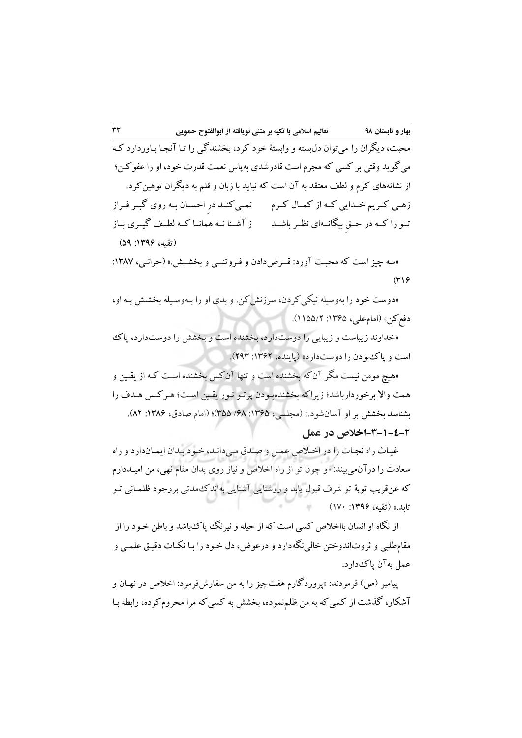محبت، ديگران را می توان دل بسته و وابستهٔ خود كرد، بخشندگی را تـا آنجـا بـاوردارد كـه می گويد وقتی بر كسی كه مجرم است قادرشدی بهپاس نعمت قدرت خود، او را عفوكـن؛ از نشانههای كرم و لطف معتقد به آن است كه نبايد با زبان و قلم به ديگران توهین كرد. زهـی كـريم خـدايی كـه از كمـال كـرم مسلمى كنــد درِ احســان بــه روی گبــر فــراز تــو را كــد در حــق بیگانــدای نظــرباشــد ز آشــنا نــد همانــا كــد لرــف گیــری بــاز )تقید، :9311 41(

«سه چیز است كه محبت آورد: قــرض دادن و فـروتنــی و بخشــش.» (حرانـی، ۱۳۸۷:  $(4)9$ 

«دوست خود را بهوسیله نیکی کردن، سرزنش كن. و بدی او را بـهوسـیله بخشـش بـه او، دفع كن» (امام علي، ۱۳۶۵: ۱۵۵/۲).

»خداوند زيباست و زيبايی را دوستدارد، بخشنده است و بخشش را دوستدارد، پا است و پاک بودن را دوست دارد» (پاينده، ۱۳۶۲: ۲۹۳).

»هیچ مومن نیست مگر آنكد بخشنده است و تنها آنكس بخشنده اسـت كـد از يقـین و همت واال برخوردارباشد؛ زيراكد بخشندهبـودن پرتـو نـور يقـین اسـت؛ هـر كـس هـدف را بشناسد بخشش بر او آسان شود.» (مجلسی، ۱۳۶۵: ۶۸/ ۳۵۵)؛ (امام صادق، ۱۳۸۶: ۸۲). **-3-1-4-4اخالص در عمل** 

غيـاث راه نجـات را در اخـلاص عمـل و صـدق مـىدانـد، خـود بـدان ايمـاندارد و راه سعادت را درآن.میبیند: «و چون تو از راه اخلاص و نیاز روی بدان مقام نهی، من امیـددارم كد عنقريب توبة تو شرف قبول يابد و روشنايی آشنايی بداند مدتی بروجود فلمـانی تـو تابد.» (تقیه، ۱۳۹۶: ۱۷۰)

از نگاه او انسان بااخلاص كسی است كه از حیله و نیرنگ پیاك باشد و باطن خـود را از مقامطلبی و ثروتاندوختن خالی نگهدارد و درعوض، دل خـود را بـا نکـات دقیـق علمـی و عمل به آن پاک دارد.

پیامبر (ص) فرمودند: «پروردگارم هفتچیز را به من سفارشفرمود: اخلاص در نهـان و آشکار، گذشت از كسی كه به من ظلمنموده، بخشش به كسی كه مرا محرومكرده، رابطه بـا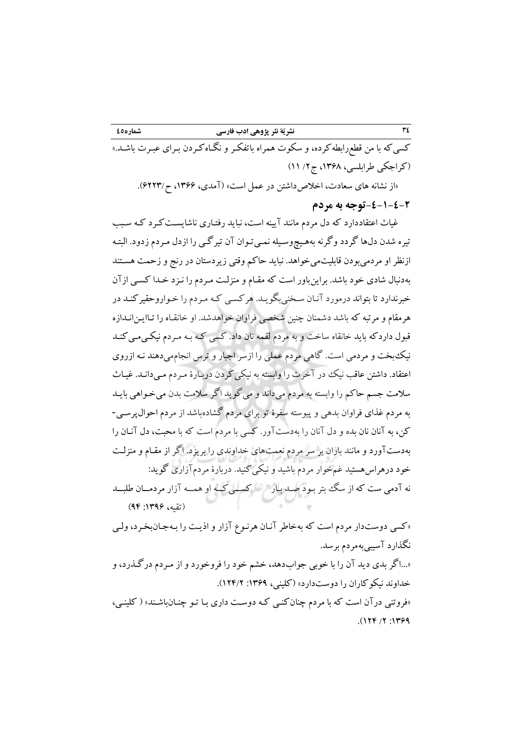كسی كه با من قطعرابطه كرده، و سكوت همراه باتفكـر و نگـاه كـردن بـرای عبـرت باشـد.» (كراجكي طرابلسي، ١٣۶٨، ج ٢/ ١١)

»از نشاند های سعادت، اخالاداشتن در عمل است« )آمدی، ،9311 1223/ .(

# **-4-1-4-4توجه به مردم**

غیاث اعتقاددارد كد دل مردم مانند آيیند است، نبايد رفتـاری ناشايسـت كـرد كـد سـبب تیره شدن دلها گردد وگرنه بههـیچوسـیله نمـیتوان آن تیرگـی را ازدل مـردم زدود. البتـه ازنظر او مردمیبودن قابلیتمیخواهد. نبايد حاكم وقتی زيردستان در رنج و زحمت هسـتند بددنبال شادی خود باشد. براينباور است كد مقـام و منزلـت مـردم را نـزد خـدا كسـی ازآن خبرندارد تا بتواند درمورد آنـان سـخنی بگويـد. هركسـی كـد مـردم را خـواروحقیر كنـد در هرمقام و مرتبد كد باشد دشمنان چنین شخصی فراوان خواهدشد. او خانقـاه را تـا انـدازه ايـن قبول داردكد بايد خانقاه ساخت و بد مردم لقمد نان داد. كسی كـد بـد مـردم نیکـی كنـد مـی نی بخت و مردمی است. گاهی مردم عملی را ازسر اجبار و ترس انجاممیدهند نـد ازروی اعتقاد. داشتن عاقب نیك در آخرت را وابسته به نیكی كردن دربـارهٔ مـردم مـیدانـد. غیـاث سالمت جسم حاكم را وابستد بد مردم می داند و میگويد اگر سالمت بدن میخـواهی بايـد بد مردم غذای فراوان بدهی و پیوستد سفرة تو برای مردم گشادهباشد از مردم احوالپرسـی - كن، بد آنان نان بده و دل آنان را بد دستآور. كسی با مردم است كد با محبت، دل آنـان را بددستآورد و مانند باران بر سر مردم نعمتهای خداوندی را بريزد. اگر از مقـام و منزلـت خود درهراس هستید غمخوار مردم باشید و نیکی كنید. دربارهٔ مردمآزاری گوید: نه آدمی ست كه از سگ بتر بـود صـد بـار به كســی كــه او همــه آزار مردمــان طلبــد (تقیه، ۱۳۹۶: ۹۴)

«كسي دوستدار مردم است كه بهخاطر آنـان هرنـوع آزار و اذيـت را بـهجـانبخـرد، ولـي نگذارد آسیبیبدمردم برسد.

»...اگر بدی ديد آن را با خوبی جوابدهد، خشم خود را فروخورد و از مـردم درگـذرد، و خداوند نیکوکاران را دوست دارد» (کلینی، ۱۳۶۹: ۱۲۴/۲). »فروتنی درآن است كد با مردم چنانكنـی كـد دوسـت داری بـا تـو چنـان كلینـی، « )دباشـن

 $(179.7)$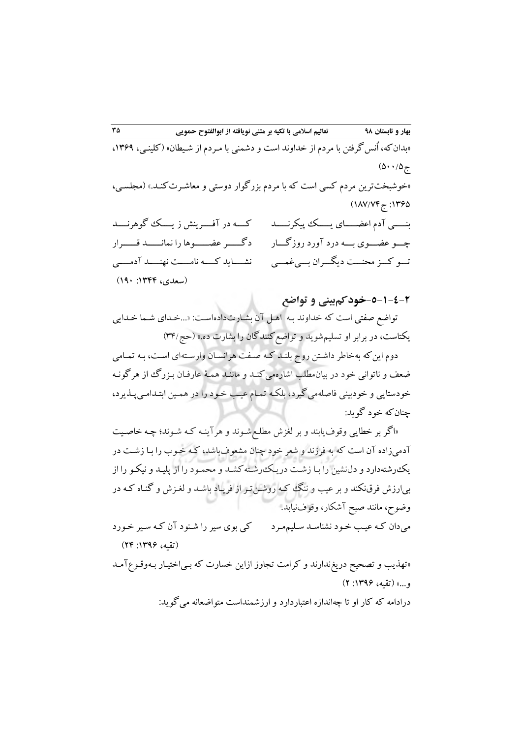«بدان كه، اُنس گرفتن با مردم از خداوند است و دشمنی با مـردم از شـیطان» (كلینـی، ۱۳۶۹،  $(0.14)$ «خوشبختترين مردم كسی است كه با مردم بزرگوار دوستی و معاشـرت كنـد.» (مجلسـی،  $(1/V/VF_{77} : 1490$ بنـــــی آدم اعضـــــای يـــــ پیکرنـــــد چـــو عضـــوی بـــد درد آورد روزگـــار تـــو كـــز محنـــت ديگـــران بـــی غمـــی كــــد در آفــــرينش ز يــــ گوهرنــــد دگــــــر عضــــــوها را نمانــــــد قــــــرار نشــــايد كــــد نامــــت نهنــــد آدمــــی (سعدی، ۱۳۴۴: ۱۹۰)

**-5-1-4-4خودکمبینی و تواضع**

تواضع صفتی است كد خداوند بـد اهـل آن بشـارت اسـت: داده »... خـدايی شـما خـدای يکتاست، در برابر او تسليم شويد و تواضع کنندگان را بشارت ده.» (حج/۳۴)

دوم اين كه بهخاطر داشـتن روح بلنـد كـه صـفت هرانسـان وارسـتهای اسـت، بـه تمـامی ضعف و ناتوانی خود در بیان.طلب اشارهمی كنـد و ماننـد همـهٔ عارفـان بـزرگ از هرگونـه خودستايی و خودبینی فاصلهمی گیرد، بلکـه تمـام عیـب خـود را در همـین ابتـدامـی پـذیرد، چنانكد خود گويد:

«اگر بر خطايی وقوف يابند و بر لغزش مطلـع شـوند و هرآينـه كـه شـوند؛ چـه خاصـيت آدمیزاده آن است كد بد فرزند و شعر خود چنان مشعوفباشد، كـد خـوب را بـا زشـت در يك رشته دارد و دل نشين را بـا زشـت در يـك رشـته كشـد و محمـود را از پليـد و نيكـو را از بی ارزش فرق نکند و بر عیب و ننگ كـه روشـن تـر از فريـاد باشـد و لغـزش و گنـاه كـه در وضو ، مانند صبح آشکار، وقوفنیابد.

میدان كـد عیـب خـود نشناسـد سـلیم مـرد كی بوی سیر را شـنود آن كـد سـیر خـورد (تقیه، ۱۳۹۶: ۲۴)

»تهذيب و تصحیح دريغندارند و كرامت تجاوز ازاين خسارت كد بـی آمـد وقـوع اختیـار بـد و...« )تقید، :9311 (2

درادامه كه كار او تا چهاندازه اعتباردارد و ارزشمنداست متواضعانه می گوید: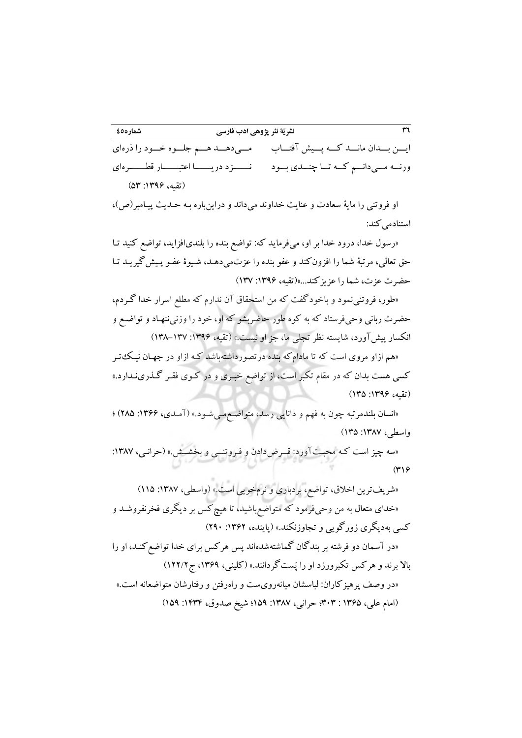**32 نشریّة نثر پژوهی ادب فارسی 45شماره**

ايـــن بـــدان مانـــد كـــد پـــیش آفتـــاب ورنـــه مـــی‹انـــم كــه تـــا چنـــدی بـــود مــــ نــــــزد دريـــــــا اعتبـــــــار قطـــــــرهای مـــیدهـــد هـــم جلـــوه خـــود را ذره ای )تقید، :9311 43(

او فروتنی را مايهٔ سعادت و عنايت خداوند میداند و دراينباره بـه حـديث پيـامبر(ص)، استنادمی كند:

«رسول خدا، درود خدا بر او، میفرمايد كه: تواضع بنده را بلندیافزايد، تواضع كنيد تـا حق تعالی، مرتبهٔ شما را افزون كند و عفو بنده را عزتمیدهـد، شـیوهٔ عفـو پـیش گیریـد تـا حضرت عزت، شما را عزيزكند...«)تقید، :9311 931(

«طور، فروتنی نمود و باخودگفت كه من استحقاق آن ندارم كه مطلع اسرار خدا گـردم، حضرت ربانی وحیفرستاد كه به كوه طور حاضربشو كه او، خود را وزنی ننهـاد و تواضـع و انکسار پیش آورد، شايسته نظر تجلی ما، جز او نيست.» (تقيه، ١٣٩۶: ١٣٧-١٣٨)

«هم ازاو مروی است كه تا مادامكه بنده درتصورداشتهباشد كـه ازاو در جهـان نیـك تـر كسی هست بدان كه در مقام تكبر است، از تواضع خبـری و در كـوی فقـر گـذری نـدارد.» (تقیه، ۱۳۹۶: ۱۳۵)

«انسان بلندمرتبه چون به فهم و دانایی رسد، متواضـع مـیشـود.» (آمـدی، ۱۳۶۶: ۲۸۵) ؛ واسطی، ۱۳۸۷: ۱۳۵)

«سه چیز است كـه محبـتآورد: قــرض دادن و فـروتنــی و بخشــش.» (حرانـی، ١٣٨٧:  $(4)9$ 

«شريفترين اخلاق، تواضع، بردباری و نرم خويی است.» (واسطی، ۱۳۸۷: ۱۱۵) »خدای متعال بد من وحیفرمود كد متواضعباشید، تا هیچكس بر ديگری فخرنفروشـد و كسی بهديگری زورگويی و تجاوزنكند.» (پاينده، ۱۳۶۲: ۲۹۰) «در آسمان دو فرشته بر بندگان گماشتهشدهاند پس هركس برای خدا تواضع كنـد، او را بالا برند و هركس تكبرورزد او را پَست گردانند.» (كلینی، ۱۳۶۹، ج ۱۲۲/۲) »در وصف پرهیزكاران: لباسشان میاند ست و راهروی رفتن و رفتارشان متواضعاند است.« (امام علی، ۱۳۶۵ : ۳۰۳؛ حرانی، ۱۳۸۷: ۱۵۹؛ شیخ صدوق، ۱۴۳۴: ۱۵۹)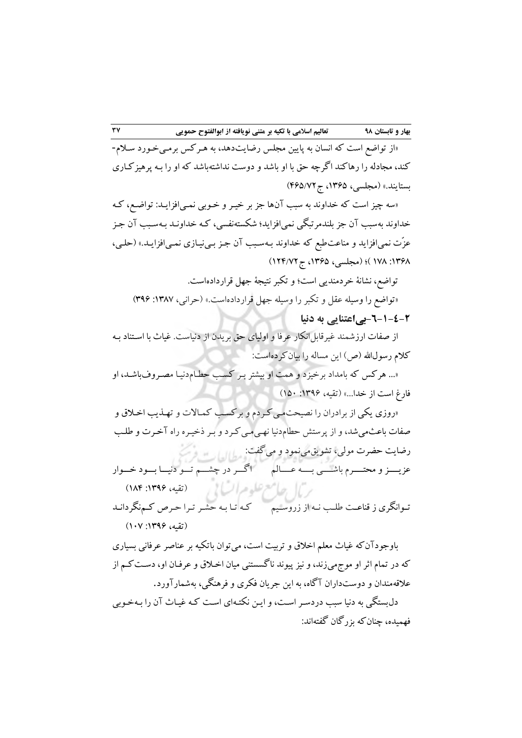»از تواضع است كد انسان بد پايین مجلس رضايتدهد، بد هـركس برمـی خـورد سـالم - كند، مجادلد را رهاكند اگرچد حق با او باشد و دوست نداشتد باشد كد او را بـد پرهیزكـاری بستايند.» (مجلسي، ۱۳۶۵، ج ۴۶۵/۷۲)

»سد چیز است كد خداوند بد سبب آن ها جز بر خیـر و خـوبی نمـی كـد ،افزايـد: تواضـع خداوند بهسبب آن جز بلندمرتبگی نمی افزايد؛ شکستهنفسی، کـه خداونـد بـهسـبب آن جـز عزّت نمی|فزايد و مناعتطبع كه خداوند بـهسـبب آن جـز بـینيـازی نمـی|فزايـد.» (حلـی، 9318 : 918 مجلسی،(؛ ) 9314 ج ، 925/12(

تواضع، نشانهٔ خردمندیی است؛ و تکبر نتیجهٔ جهل قراردادهاست.

»تواضع را وسیلد عقل و تکبر را وسیلد جهل قراردادهاست.« )حرانی، :9381 311( **-2-1-4-4بیاعتنایی به دنیا**

از صفات ارزشمند غیرقابل|نکار عرفا و اولیای حق بریدن از دنیاست. غیاث با اسـتناد بـه كلام رسول الله (ص) اين مساله را بيان كرده است:

»... هركس كد بامداد برخیزد و همت او بیشتر بـر كسـب حرـام دنیـا مصـروف باشـد، او فارغ است از خدا...» (تقیه، ۱۳۹۶: ۱۵۰)

«روزی يکي از برادران را نصيحت مـي كـردم و بركسـب كمـالات و تهـذيب اخـلاق و صفات باعث می شد، و از پرستش حطام دنیا نهـی مـی کـرد و بـر ذخیـره راه آخـرت و طلـب رضايت حضرت مولى، تشويق می نمود و می گفت: عزيــــز و محتــــرم باشــــی بــــد عــــالم اگـــردر چشـــم تـــو دنیـــا بـــود خـــوار تــوانگری ز قناعــت طلــب نــد از زروســیم كـد تـا بـد حشـر تـرا حـرا كـمنگردانـد ر)| حامع علوم السابی (تقیه، ۱۳۹۶: ۱۸۴ (تقیه، ۱۳۹۶: ۱۰۷)

باوجودآن كه غیاث معلم اخلاق و تربیت است، می توان باتكیه بر عناصر عرفانی بسیاری كد در تمام اثر او موجمیزند، و نیز پیوند ناگسستنی میان اخـالق و عرفـان كـم از او، دسـت علاقه مندان و دوستداران آگاه، به اين جريان فکری و فرهنگی، بهشمارآورد.

دلبستگی بد دنیا سبب دردسـر اسـت، و ايـن نکتـد ای اسـت كـد غیـاث آن را بـد خـوبی فهمیده، چنانكد بزرگان گفتداند: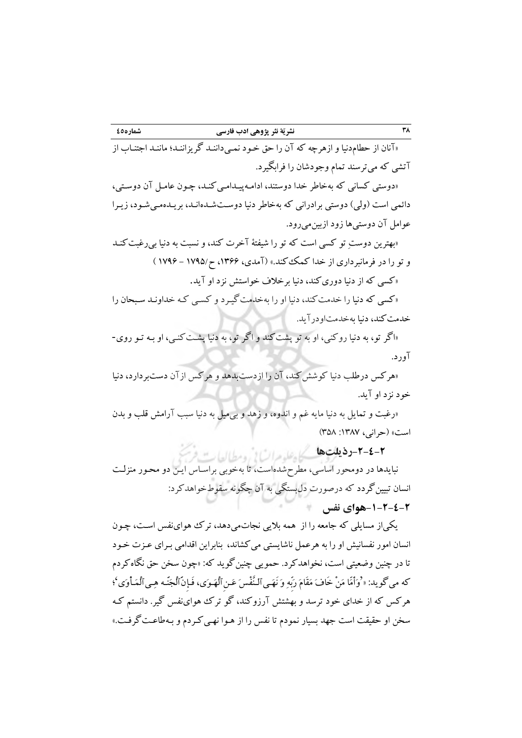«آنان از حطام دنیا و ازهرچه كه آن را حق خـود نمـی داننـد گريزاننـد؛ ماننـد اجتنـاب از آتشی كه میترسند تمام وجودشان را فرابگیرد.

«دوستی كسانی كه بهخاطر خدا دوستند، ادامـهپیـدامـی كنـد، چـون عامـل آن دوسـتی، دائمی است (ولی) دوستی برادرانی كه بهخاطر دنیا دوسـتشـدهانـد، بريـدهمـیشـود، زيـرا عوامل آن دوستیها زود ازبینمیرود.

«بهترين دوستِ تو كسی است كه تو را شیفتهٔ آخرت كند، و نسبت به دنیا بی رغبت كنـد و تو را در فرمانبرداری از خدا كمك كند.» (آمدی، ۱۳۶۶، ح/۱۷۹۵ - ۱۷۹۶ )

»كسی كد از دنیا دوریكند، دنیا برخالف خواستش نزد او آيد.

»كسی كد دنیا را خدمتكند، دنیا او را بدخدمتگیـرد و كسـی كـد خداونـد سـبحان را خدمت كند، دنیا بهخدمتاودرآيد.

«اگر تو، به دنیا روکنی، او به تو پشت کند و اگر تو، به دنیا پشـت کنـی، او بـه تـو روی-.آورد

«هركس درطلب دنیا كوشش كند، آن را ازدست بدهد و هركس از آن دست بردارد، دنیا خود نزد او آيد.

«رغبت و تمایل به دنیا مایه غم و اندوه، و زهد و بیمیل به دنیا سبب آرامش قلب و بدن است« )حرانی، :9381 348(

<del>٢-٤-1 **د** ذیلتِ ها گراه علیه مرات لا رومطالعات</del>

نبايدها در دومحور اساسی، مطرح شدهاست، تا بهخوبی براسـاس ايـن دو محـور منزلـت انسان تبیینگردد كد درصورت دل بستگی بد آن چگوند سقو خواهدكرد: **-1-4-4-4هوای نفس**

يکیاز مسايلی كد جامعد را از همد باليی نجاتمیدهد، تر هواینفس اسـت ، چـون انسان امور نفسانیش او را بد هرعمل ناشايستی میكشاند، بنابراين اقدامی بـرای عـزت خـود تا در چنین وضعیتی است، نخواهدكرد. حمویی چنین گوید كه: «چون سخن حق نگاه كردم که می گوید: « ْوَأَمَّا مَنْ خَافَ مَقَامَ رَبِّهِ وَ نَهَـی ٱلـنَّفْس َ عَـن ٱلْهَـوَی، فَـإِنَّ ٱلْجَنَّـه هِـی ٱلْمَـأْوَی ْ؛ هركس كد از خدای خود ترسد و بهشتش آرزوكند، گو تر هواینفس گیر. دانستم كـد سخن او حقیقت است جهد بسیار نمودم تا نفس را از هـوا نهـی كـردم و بـد گرفـت. طاعـت «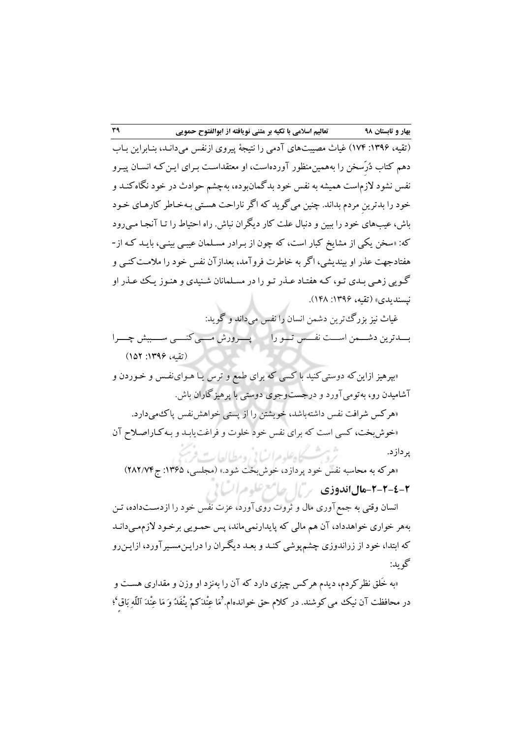)تقید، :9311 915( غیاث مصیبتهای آدمی را نتیجة پیروی ازنفس میدانـد، بنـابراين بـ اب دهم كتاب دُر ِّسخن را بدهمینمنظور آوردهاست، او معتقداسـت بـرای ايـن كـد انسـان پیـرو نفس نشود الزماست همیشد بد نفس خود بدگمانبوده، بدچشم حوادث در خود نگاهكنـد و خود را بدترين مردم بداند. چنین میگويد كد اگر ناراحت هسـتی بـد خـاطر كارهـای خـود باش، عیبهای خود را ببین و دنبال علت كار دیگران نباش. راه احتیاط را تـا آنجـا مـی(ود »كد: سخن يکی از مشايخ كبار است، كد چون از بـرادر مسـلمان عیبـی بینـی، بايـد كـد از - هفتادجهت عذر او بینديشی، اگر بد خاطرت فروآمد، بعدازآن نفس خود را مالمـت كنـی و گـويی زهـی بـدی تـو، كـد هفتـاد عـذر تـو را در مسـلمانان شـنیدی و هنـوز يـ عـذر او نیسندیدی» (تقیه، ۱۳۹۶: ۱۴۸).

غیاث نیز بزرگترين دشمن انسان را نفس میداند و گويد: بـــدترين دشـــمن اســـت نفـــس تـــو را پــــرورش مــــی كنــــی ســــببش چــــرا (تقیه، ۱۳۹۶: ۱۵۲)

«بپرهیز ازاین كه دوستی كنید با كسی كه برای طمع و ترس يـا هـوایiفـس و خـوردن و آشامیدن رو، بدتومیآورد و درجستوجوی دوستی با پرهیزگاران باش. «هركس شرافت نفس داشتهباشد، خويشتن را از پستی خواهش نفس پاك میدارد. «خوشبخت، كسى است كه براى نفس خود خلوت و فراغت يابـد و بـه كـاراصـلاح آن

پردازد.

ثرو بمسكاه علوم السابي ومطالعات فرنج «هركه به محاسبه نفس خود پردازد، خوش بخت شود.» (مجلسی، ۱۳۶۵: ج۲۸۲/۷۴) **-4-4-4-4مالاندوزی** 

انسان وقتی به جمع آوری مال و ثروت رویآورد، عزت نفس خود را ازدسـتداده، تـن بدهر خواری خواهدداد، آن هم مالی كد پايدارنمیماند، پس حمـويی برخـود الزم دانـد مـی كه ابتدا، خود از زراندوزی چشمپوشی كنـد و بعـد ديگـران را درايـن.سـیر آورد، ازايـن٫و گويد:

«به خَلق نظر كردم، ديدم هركس چيزی دارد كه آن را بهنزد او وزن و مقداری هسـت و در محافظت آن نیك می كوشند. در كلام حق خوانده۱م.'مَا عِنْدَكمْ يْنْفَدُ وَ مَا عِنْدَ ٱللَّهِ بِاقِ'؛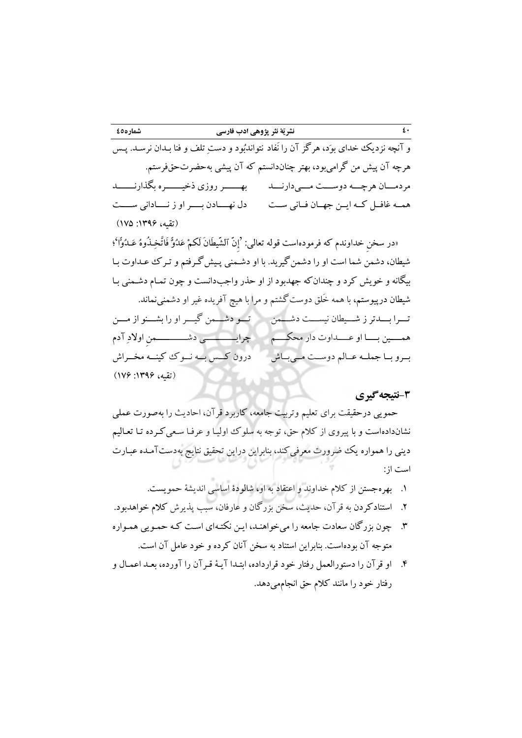# **43 نشریّة نثر پژوهی ادب فارسی 45شماره**

و آنچه نزديك خدای بوَد، هرگز آن را نَفاد نتواندبُود و دستِ تلف و فنا بـدان نرسـد. پـس هرچه آن پیش من گرامی بود، بهتر چناندانستم كه آن پیشی بهحضرتحقفرستم. مردمـــان هرچـــد دوســـت مـــی دارنـــد بهـــــــر روزی ذخیـــــــره بگذارنـــــــد همــد غافــل كــد ايــن جهــان فــانی ســت دل نهــــادن بــــر او ز نــــادانی ســــت (تقیه، ۱۳۹۶: ۱۷۵)

«در سخن خداوندم كه فرمودهاست قوله تعالى: 'إنّ الشَّيطَانَ لَكمْ عَدُوٌّ فَاتَّخِـذُوهُ عَـدُوّاً'؛ شیران، دشمن شما است او را دشمنگیريد. با او دشـمنی پـیش گـرفتم و تـر عـداوت بـا بیگاند و خويش كرد و چندانكد جهدبود از او حذر واجبدانست و چون تمـام دشـمنی بـا شیطان درپیوستم، با همه خَلق دوست گشتم و مرا با هیچ آفریده غیر او دشمنینماند. تـــرا بـــدتر ز شـــیران نیســـت دشـــمن تـــو دشـــمن گیـــر او را بشـــنو از مـــن همــــین بــــا او عــــداوت دار محکــــم چرايــــــــــــی دشــــــــــــمن اوالدِ آدم بــرو بــا جملــد عــالم دوســت مــی بــاش درون كـــس بـــد نـــو كینـــد مخـــراش )تقید، :9311 911(

## **-3 گیرینتیجه**

حمويی درحقیقت برای تعلیم وتربیت جامعد، كاربرد قرآن، احاديث را بدصورت عملی نشاندادهاست و با پیروی از كلام حق، توجه به سلوك اولیـا و عرفـا سـعی كـرده تـا تعـالیم دينی را همواره يك ضرورت معرفیكند، بنابراين دراين تحقيق نتايج بهدستآمـده عبـارت است از:

- 9. بهرهجستن از كالم خداوند و اعتقاد بد او، شالودة اساسی انديشة حمويست.
- 2. استنادكردن بد قرآن، حديث، سخن بزرگان و عارفان، سبب پذيرش كالم خواهدبود.
- 3. چون بزرگان سعادت جامعد را میخواهنـد، ايـن نکتـد ای اسـت كـد حمـويی همـواره متوجد آن بودهاست. بنابراين استناد بد سخن آنان كرده و خود عامل آن است.
- 5. او قرآن را دستورالعمل رفتار خود قرارداده، ابتـدا آيـة قـرآن را آورده، بعـد اعمـال و رفتار خود را مانند كالم حق انجاممیدهد.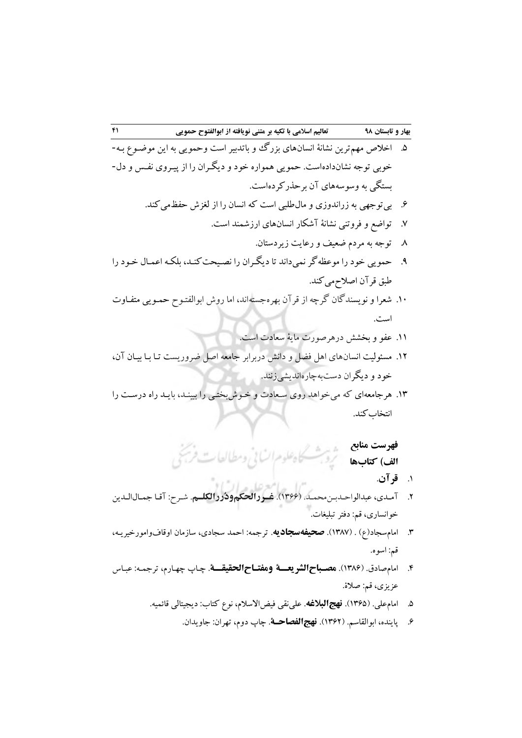- 4. اخالا مهمترين نشانة انسانهای بزرگ و باتدبیر است وحمويی بد اين موضـوع بـد خوبی توجد نشاندادهاست. حمويی همواره خود و ديگـران را از پیـروی نفـس و دل - بستگی به وسوسههای آن برحذر کردهاست.
	- 1. بیتوجهی بد زراندوزی و مالطلبی است كد انسان را از لغزش حفظمیكند.
		- 1. تواضع و فروتنی نشانة آشکار انسانهای ارزشمند است.
			- 8. توجد بد مردم ضعیف و رعايت زيردستان.
- 1. حمويی خود را موعظدگر نمیداند تا ديگـران را نصـیحت كنـد، بلکـد اعمـال خـود را طبق قرآن اصلاحمی كند.
- .91 شعرا و نويسندگان گرچد از قرآن بهرهجستداند، اما روش ابوالفتـو حمـويی متفـاوت است.

.99 عفو و بخشش درهرصورت ماية سعادت است.

- .92 مسئولیت انسانهای اهل فضل و دانش دربرابر جامعد اصل ضروريست تـا بـا بیـان آن، خود و ديگران دستبدچارهانديشیزنند.
- .93 هرجامعدای كد میخواهد روی سـعادت و خـوش بختـی را ببینـد، بايـد راه درسـت را انتخاب كند.

**فهرست منابع الف( کتابها**

- 9. **قرآن**.
- 2. آمـدی، عبدالواحـدبـنمحمـد. )9311(. **غرررالحکمودُررالکلرم**. شـر : آقـا جمـالالـدين خوانساری، قم: دفتر تبلیغات.
- 3. امامسجاد)ع( . )9381(. **صحیفهسجادیه**. ترجمد: احمد سجادی، سازمان اوقافوامورخیريـد، قم: اسوه.
- 5. امامصادق. )9381(. **مصرباح الشریعررة ومفتراح الحقیقررة** . چـاپ چهـارم، ترجمـد : عبـاس عزيزی، قم: صالة.
	- 4. امامعلی. )9314(. **نهجالبالغه**. علینقی فیضاالسالم، نوع كتاب: ديجیتالی قائمید.
		- 1. پاينده، ابوالقاسم. )9312(. **نهجالفصاحرة**. چاپ دوم، تهران: جاويدان.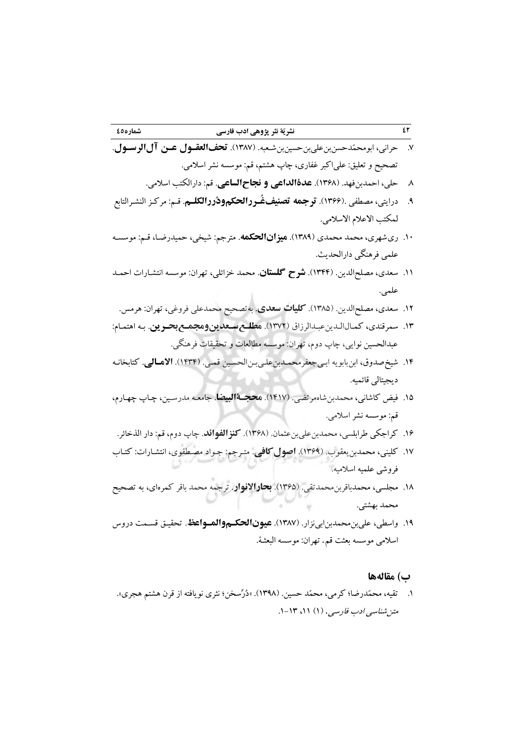1. حرانی، ابومحمّدحسنبنعلیبنحسینبنشـعبد. ) 9381(. **تحفالعقرول عرآ آل الرسرول** . تصحیح و تعلیق: علیاكبر غفاری، چاپ هشتم، قم: موسسد نشر اسالمی.

- 8. حلی، احمدبنفهد. )9318(. **عدةالداعی و نجاحالساعی**. قم: دارالکتب اسالمی.
- 1. درايتی، مصرفی .)9311(. **ترجمه تصنیفغُرررالحکم ودُررالکلرم** . قـم : مركـز النشـرالتابع لمکتب الاعلام الاسلامی.
- ۱۰. ریشهری، محمد محمدی (۱۳۸۹). **میزانالحکمه**. مترجم: شیخی، حمیدرضـا، قـم: موسسـه علمی فرهنگی دارالحديث.
- .99 سعدی، مصلحالدين. )9355(. **شرح گلستان**. محمد خزائلی، تهران: موسسد انتشـارات احمـد علمی.
	- .92 سعدی، مصلحالدين. )9384(. **کلیات سعدی**. بدتصحیح محمدعلی فروغی، تهران: هرمس.
- .93 سمرقندی، كمـال الـدين عبـدالرزاق ) 9312(. **مطلرع سرعدیآ ومجمرع بحرریآ** . بـد اهتمـام: عبدالحسین نوايی، چاپ دوم، تهران: موسسد مرالعات و تحقیقات فرهنگی.
- .95 شیخصدوق، ابنبابويد ابـی جعفرمحمـدبن علـی بـن الحسـین قمـی. ) 9535(. **االمرالی** . كتابخانـد ديجیتالی قائمید.
- .94 فیض كاشانی، محمدبنشاهمرتضی. )9591(. **محجرةالبیضا**. جامعـد مدرسـین، چـاپ چهـارم، قم: موسسد نشر اسالمی.
- ۱۶. كراجكي طرابلسي، محمدبن عليبن عثمان. (۱۳۶۸). **كنزالفوائد**. چاپ دوم، قم: دار الذخائر.
- .91 كلینی، محمدبنيعقوب. )9311(. **اصولکافی**. متـرجم: جـواد مصـرفوی، انتشـارات: كتـاب فروشی علمید اسالمید.
- .98 مجلسی، محمدباقربنمحمدتقی. )9314(. **بحاراالنوار**. ترجمد محمد باقر كمرهای، بد تصحیح محمد بهشتی.
- ۱۹. واسطی، علیبن محمدبنابینزار. (۱۳۸۷). **عیونالحکـموالمـواعظ**. تحقیـق قسـمت دروس اسالمی موسسد بعثت قم. تهران: موسسد البعثـة.

## **ب( مقالهها**

9. تقید، محمّدرضا؛ كرمی، محمّد حسین. )9318(. »دُرِّسخن؛ نثری نويافتد از قرن هشتم هجری«[.](http://rpll.ui.ac.ir/article_22788.html) متن شناسی ادب فارسی. (۱) ۱۱، ۱۳-۱.